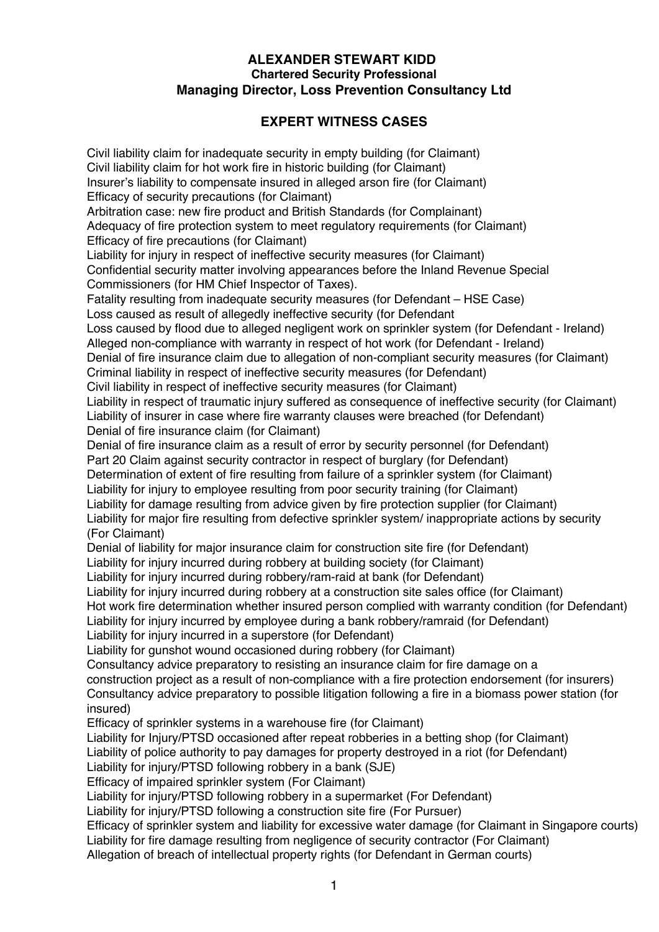#### **ALEXANDER STEWART KIDD Chartered Security Professional Managing Director, Loss Prevention Consultancy Ltd**

# **EXPERT WITNESS CASES**

Civil liability claim for inadequate security in empty building (for Claimant) Civil liability claim for hot work fire in historic building (for Claimant) Insurer's liability to compensate insured in alleged arson fire (for Claimant) Efficacy of security precautions (for Claimant) Arbitration case: new fire product and British Standards (for Complainant) Adequacy of fire protection system to meet regulatory requirements (for Claimant) Efficacy of fire precautions (for Claimant) Liability for injury in respect of ineffective security measures (for Claimant) Confidential security matter involving appearances before the Inland Revenue Special Commissioners (for HM Chief Inspector of Taxes). Fatality resulting from inadequate security measures (for Defendant – HSE Case) Loss caused as result of allegedly ineffective security (for Defendant Loss caused by flood due to alleged negligent work on sprinkler system (for Defendant - Ireland) Alleged non-compliance with warranty in respect of hot work (for Defendant - Ireland) Denial of fire insurance claim due to allegation of non-compliant security measures (for Claimant) Criminal liability in respect of ineffective security measures (for Defendant) Civil liability in respect of ineffective security measures (for Claimant) Liability in respect of traumatic injury suffered as consequence of ineffective security (for Claimant) Liability of insurer in case where fire warranty clauses were breached (for Defendant) Denial of fire insurance claim (for Claimant) Denial of fire insurance claim as a result of error by security personnel (for Defendant) Part 20 Claim against security contractor in respect of burglary (for Defendant) Determination of extent of fire resulting from failure of a sprinkler system (for Claimant) Liability for injury to employee resulting from poor security training (for Claimant) Liability for damage resulting from advice given by fire protection supplier (for Claimant) Liability for major fire resulting from defective sprinkler system/ inappropriate actions by security (For Claimant) Denial of liability for major insurance claim for construction site fire (for Defendant) Liability for injury incurred during robbery at building society (for Claimant) Liability for injury incurred during robbery/ram-raid at bank (for Defendant) Liability for injury incurred during robbery at a construction site sales office (for Claimant) Hot work fire determination whether insured person complied with warranty condition (for Defendant) Liability for injury incurred by employee during a bank robbery/ramraid (for Defendant) Liability for injury incurred in a superstore (for Defendant) Liability for gunshot wound occasioned during robbery (for Claimant) Consultancy advice preparatory to resisting an insurance claim for fire damage on a construction project as a result of non-compliance with a fire protection endorsement (for insurers) Consultancy advice preparatory to possible litigation following a fire in a biomass power station (for insured) Efficacy of sprinkler systems in a warehouse fire (for Claimant) Liability for Injury/PTSD occasioned after repeat robberies in a betting shop (for Claimant) Liability of police authority to pay damages for property destroyed in a riot (for Defendant) Liability for injury/PTSD following robbery in a bank (SJE) Efficacy of impaired sprinkler system (For Claimant) Liability for injury/PTSD following robbery in a supermarket (For Defendant) Liability for injury/PTSD following a construction site fire (For Pursuer) Efficacy of sprinkler system and liability for excessive water damage (for Claimant in Singapore courts) Liability for fire damage resulting from negligence of security contractor (For Claimant)

Allegation of breach of intellectual property rights (for Defendant in German courts)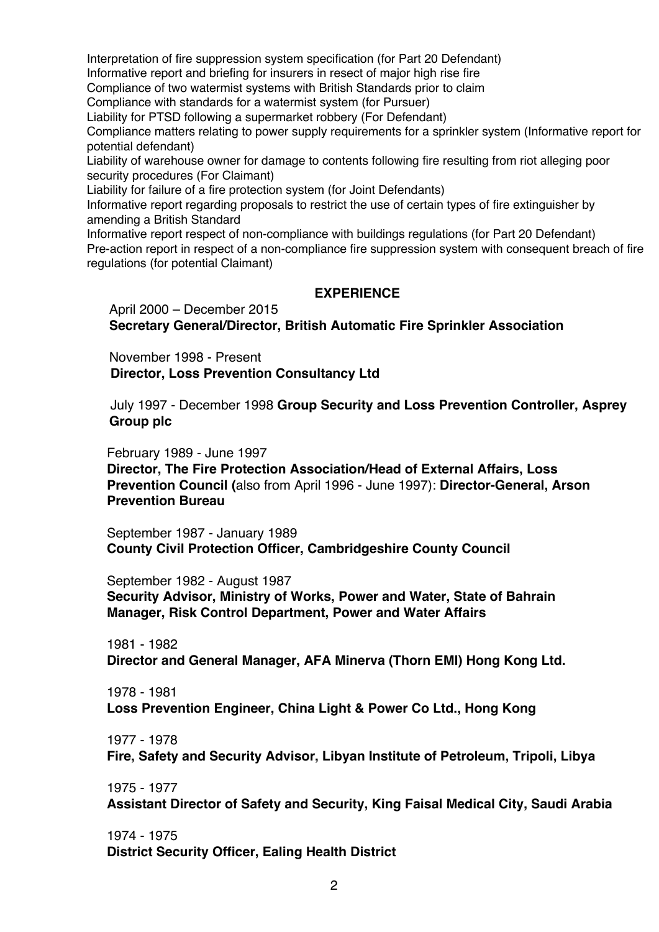Interpretation of fire suppression system specification (for Part 20 Defendant) Informative report and briefing for insurers in resect of major high rise fire Compliance of two watermist systems with British Standards prior to claim Compliance with standards for a watermist system (for Pursuer) Liability for PTSD following a supermarket robbery (For Defendant) Compliance matters relating to power supply requirements for a sprinkler system (Informative report for potential defendant) Liability of warehouse owner for damage to contents following fire resulting from riot alleging poor security procedures (For Claimant) Liability for failure of a fire protection system (for Joint Defendants)

Informative report regarding proposals to restrict the use of certain types of fire extinguisher by amending a British Standard

Informative report respect of non-compliance with buildings regulations (for Part 20 Defendant) Pre-action report in respect of a non-compliance fire suppression system with consequent breach of fire regulations (for potential Claimant)

#### **EXPERIENCE**

 April 2000 – December 2015 **Secretary General/Director, British Automatic Fire Sprinkler Association**

 November 1998 - Present **Director, Loss Prevention Consultancy Ltd**

July 1997 - December 1998 **Group Security and Loss Prevention Controller, Asprey Group plc**

February 1989 - June 1997

**Director, The Fire Protection Association/Head of External Affairs, Loss Prevention Council (**also from April 1996 - June 1997): **Director-General, Arson Prevention Bureau**

September 1987 - January 1989 **County Civil Protection Officer, Cambridgeshire County Council**

September 1982 - August 1987 **Security Advisor, Ministry of Works, Power and Water, State of Bahrain Manager, Risk Control Department, Power and Water Affairs**

1981 - 1982 **Director and General Manager, AFA Minerva (Thorn EMI) Hong Kong Ltd.**

1978 - 1981 **Loss Prevention Engineer, China Light & Power Co Ltd., Hong Kong**

1977 - 1978 **Fire, Safety and Security Advisor, Libyan Institute of Petroleum, Tripoli, Libya**

1975 - 1977 **Assistant Director of Safety and Security, King Faisal Medical City, Saudi Arabia**

1974 - 1975 **District Security Officer, Ealing Health District**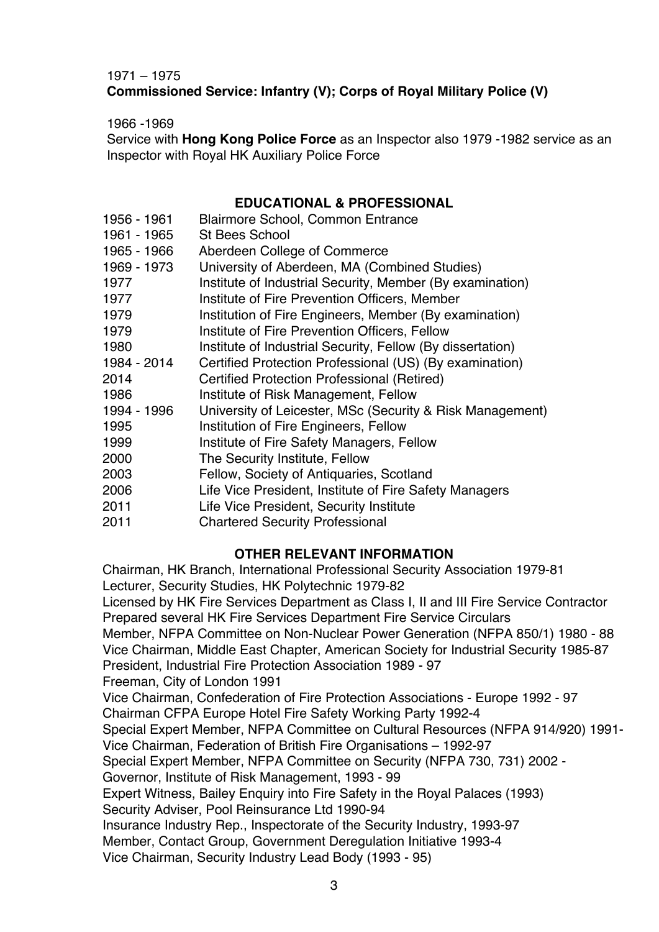### 1971 – 1975 **Commissioned Service: Infantry (V); Corps of Royal Military Police (V)**

1966 -1969

Service with **Hong Kong Police Force** as an Inspector also 1979 -1982 service as an Inspector with Royal HK Auxiliary Police Force

## **EDUCATIONAL & PROFESSIONAL**

| 1956 - 1961 | Blairmore School, Common Entrance                          |
|-------------|------------------------------------------------------------|
| 1961 - 1965 | <b>St Bees School</b>                                      |
| 1965 - 1966 | Aberdeen College of Commerce                               |
| 1969 - 1973 | University of Aberdeen, MA (Combined Studies)              |
| 1977        | Institute of Industrial Security, Member (By examination)  |
| 1977        | Institute of Fire Prevention Officers, Member              |
| 1979        | Institution of Fire Engineers, Member (By examination)     |
| 1979        | Institute of Fire Prevention Officers, Fellow              |
| 1980        | Institute of Industrial Security, Fellow (By dissertation) |
| 1984 - 2014 | Certified Protection Professional (US) (By examination)    |
| 2014        | Certified Protection Professional (Retired)                |
| 1986        | Institute of Risk Management, Fellow                       |
| 1994 - 1996 | University of Leicester, MSc (Security & Risk Management)  |
| 1995        | Institution of Fire Engineers, Fellow                      |
| 1999        | Institute of Fire Safety Managers, Fellow                  |
| 2000        | The Security Institute, Fellow                             |
| 2003        | Fellow, Society of Antiquaries, Scotland                   |
| 2006        | Life Vice President, Institute of Fire Safety Managers     |
| 2011        | Life Vice President, Security Institute                    |
| 2011        | <b>Chartered Security Professional</b>                     |
|             |                                                            |

## **OTHER RELEVANT INFORMATION**

Chairman, HK Branch, International Professional Security Association 1979-81 Lecturer, Security Studies, HK Polytechnic 1979-82 Licensed by HK Fire Services Department as Class I, II and III Fire Service Contractor Prepared several HK Fire Services Department Fire Service Circulars Member, NFPA Committee on Non-Nuclear Power Generation (NFPA 850/1) 1980 - 88 Vice Chairman, Middle East Chapter, American Society for Industrial Security 1985-87 President, Industrial Fire Protection Association 1989 - 97 Freeman, City of London 1991 Vice Chairman, Confederation of Fire Protection Associations - Europe 1992 - 97 Chairman CFPA Europe Hotel Fire Safety Working Party 1992-4 Special Expert Member, NFPA Committee on Cultural Resources (NFPA 914/920) 1991- Vice Chairman, Federation of British Fire Organisations – 1992-97 Special Expert Member, NFPA Committee on Security (NFPA 730, 731) 2002 - Governor, Institute of Risk Management, 1993 - 99 Expert Witness, Bailey Enquiry into Fire Safety in the Royal Palaces (1993) Security Adviser, Pool Reinsurance Ltd 1990-94 Insurance Industry Rep., Inspectorate of the Security Industry, 1993-97 Member, Contact Group, Government Deregulation Initiative 1993-4 Vice Chairman, Security Industry Lead Body (1993 - 95)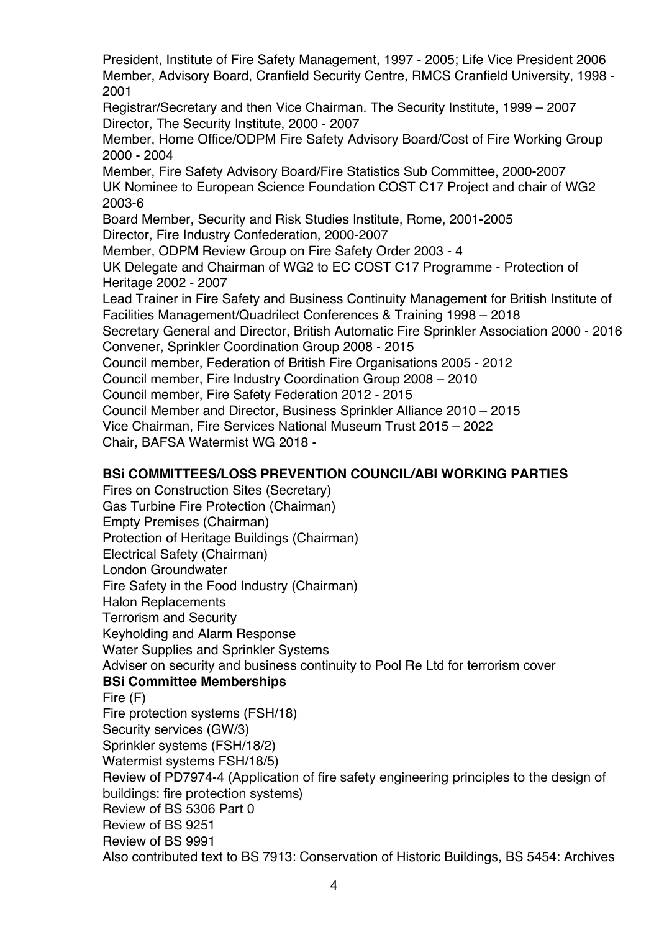President, Institute of Fire Safety Management, 1997 - 2005; Life Vice President 2006 Member, Advisory Board, Cranfield Security Centre, RMCS Cranfield University, 1998 - 2001

Registrar/Secretary and then Vice Chairman. The Security Institute, 1999 – 2007 Director, The Security Institute, 2000 - 2007

Member, Home Office/ODPM Fire Safety Advisory Board/Cost of Fire Working Group 2000 - 2004

Member, Fire Safety Advisory Board/Fire Statistics Sub Committee, 2000-2007 UK Nominee to European Science Foundation COST C17 Project and chair of WG2 2003-6

Board Member, Security and Risk Studies Institute, Rome, 2001-2005 Director, Fire Industry Confederation, 2000-2007

Member, ODPM Review Group on Fire Safety Order 2003 - 4 UK Delegate and Chairman of WG2 to EC COST C17 Programme - Protection of Heritage 2002 - 2007

Lead Trainer in Fire Safety and Business Continuity Management for British Institute of Facilities Management/Quadrilect Conferences & Training 1998 – 2018 Secretary General and Director, British Automatic Fire Sprinkler Association 2000 - 2016 Convener, Sprinkler Coordination Group 2008 - 2015 Council member, Federation of British Fire Organisations 2005 - 2012

Council member, Fire Industry Coordination Group 2008 – 2010

Council member, Fire Safety Federation 2012 - 2015

Council Member and Director, Business Sprinkler Alliance 2010 – 2015

Vice Chairman, Fire Services National Museum Trust 2015 – 2022 Chair, BAFSA Watermist WG 2018 -

# **BSi COMMITTEES/LOSS PREVENTION COUNCIL/ABI WORKING PARTIES**

Fires on Construction Sites (Secretary) Gas Turbine Fire Protection (Chairman) Empty Premises (Chairman) Protection of Heritage Buildings (Chairman) Electrical Safety (Chairman) London Groundwater Fire Safety in the Food Industry (Chairman) Halon Replacements Terrorism and Security Keyholding and Alarm Response Water Supplies and Sprinkler Systems Adviser on security and business continuity to Pool Re Ltd for terrorism cover **BSi Committee Memberships** Fire (F) Fire protection systems (FSH/18) Security services (GW/3) Sprinkler systems (FSH/18/2) Watermist systems FSH/18/5) Review of PD7974-4 (Application of fire safety engineering principles to the design of buildings: fire protection systems) Review of BS 5306 Part 0 Review of BS 9251 Review of BS 9991 Also contributed text to BS 7913: Conservation of Historic Buildings, BS 5454: Archives